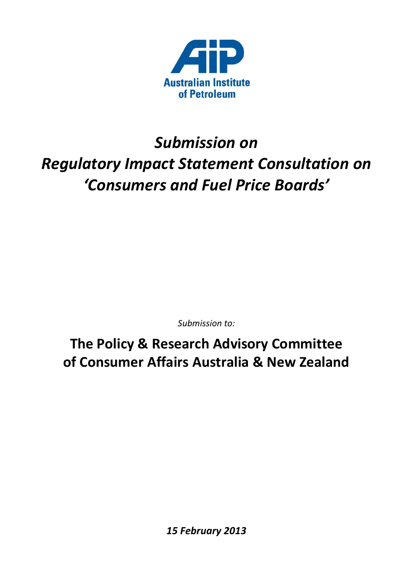

# *Submission on Regulatory Impact Statement Consultation on 'Consumers and Fuel Price Boards'*

*Submission to:*

**The Policy & Research Advisory Committee of Consumer Affairs Australia & New Zealand**

*15 February 2013*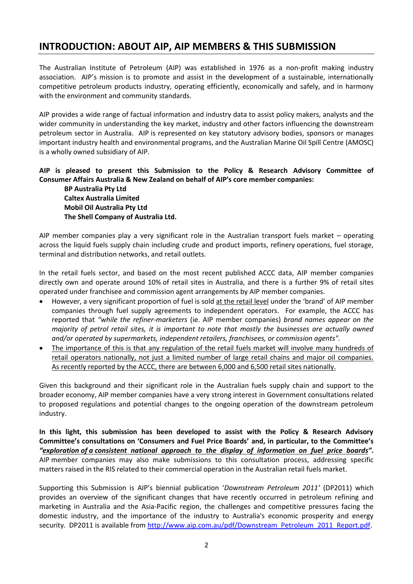# **INTRODUCTION: ABOUT AIP, AIP MEMBERS & THIS SUBMISSION**

The Australian Institute of Petroleum (AIP) was established in 1976 as a non-profit making industry association. AIP's mission is to promote and assist in the development of a sustainable, internationally competitive petroleum products industry, operating efficiently, economically and safely, and in harmony with the environment and community standards.

AIP provides a wide range of factual information and industry data to assist policy makers, analysts and the wider community in understanding the key market, industry and other factors influencing the downstream petroleum sector in Australia. AIP is represented on key statutory advisory bodies, sponsors or manages important industry health and environmental programs, and the Australian Marine Oil Spill Centre (AMOSC) is a wholly owned subsidiary of AIP.

#### **AIP is pleased to present this Submission to the Policy & Research Advisory Committee of Consumer Affairs Australia & New Zealand on behalf of AIP's core member companies:**

**BP Australia Pty Ltd Caltex Australia Limited Mobil Oil Australia Pty Ltd The Shell Company of Australia Ltd.**

AIP member companies play a very significant role in the Australian transport fuels market – operating across the liquid fuels supply chain including crude and product imports, refinery operations, fuel storage, terminal and distribution networks, and retail outlets.

In the retail fuels sector, and based on the most recent published ACCC data, AIP member companies directly own and operate around 10% of retail sites in Australia, and there is a further 9% of retail sites operated under franchisee and commission agent arrangements by AIP member companies.

- However, a very significant proportion of fuel is sold at the retail level under the 'brand' of AIP member companies through fuel supply agreements to independent operators. For example, the ACCC has reported that *"while the refiner-marketers* (ie. AIP member companies) *brand names appear on the majority of petrol retail sites, it is important to note that mostly the businesses are actually owned and/or operated by supermarkets, independent retailers, franchisees, or commission agents".*
- The importance of this is that any regulation of the retail fuels market will involve many hundreds of retail operators nationally, not just a limited number of large retail chains and major oil companies. As recently reported by the ACCC, there are between 6,000 and 6,500 retail sites nationally.

Given this background and their significant role in the Australian fuels supply chain and support to the broader economy, AIP member companies have a very strong interest in Government consultations related to proposed regulations and potential changes to the ongoing operation of the downstream petroleum industry.

**In this light, this submission has been developed to assist with the Policy & Research Advisory Committee's consultations on 'Consumers and Fuel Price Boards' and, in particular, to the Committee's**  *"exploration of a consistent national approach to the display of information on fuel price boards"***.** AIP member companies may also make submissions to this consultation process, addressing specific matters raised in the RIS related to their commercial operation in the Australian retail fuels market.

Supporting this Submission is AIP's biennial publication '*Downstream Petroleum 2011'* (DP2011) which provides an overview of the significant changes that have recently occurred in petroleum refining and marketing in Australia and the Asia-Pacific region, the challenges and competitive pressures facing the domestic industry, and the importance of the industry to Australia's economic prosperity and energy security. DP2011 is available fro[m http://www.aip.com.au/pdf/Downstream\\_Petroleum\\_2011\\_Report.pdf.](http://www.aip.com.au/pdf/Downstream_Petroleum_2011_Report.pdf)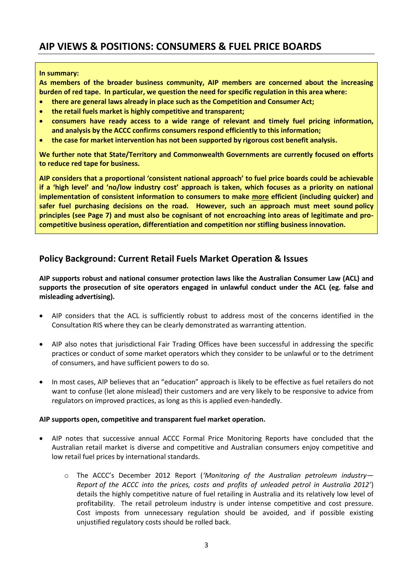# **AIP VIEWS & POSITIONS: CONSUMERS & FUEL PRICE BOARDS**

#### **In summary:**

**As members of the broader business community, AIP members are concerned about the increasing burden of red tape. In particular, we question the need for specific regulation in this area where:**

- **there are general laws already in place such as the Competition and Consumer Act;**
- **the retail fuels market is highly competitive and transparent;**
- **consumers have ready access to a wide range of relevant and timely fuel pricing information, and analysis by the ACCC confirms consumers respond efficiently to this information;**
- **the case for market intervention has not been supported by rigorous cost benefit analysis.**

**We further note that State/Territory and Commonwealth Governments are currently focused on efforts to reduce red tape for business.**

**AIP considers that a proportional 'consistent national approach' to fuel price boards could be achievable if a 'high level' and 'no/low industry cost' approach is taken, which focuses as a priority on national implementation of consistent information to consumers to make more efficient (including quicker) and safer fuel purchasing decisions on the road. However, such an approach must meet sound policy principles (see Page 7) and must also be cognisant of not encroaching into areas of legitimate and procompetitive business operation, differentiation and competition nor stifling business innovation.**

### **Policy Background: Current Retail Fuels Market Operation & Issues**

**AIP supports robust and national consumer protection laws like the Australian Consumer Law (ACL) and supports the prosecution of site operators engaged in unlawful conduct under the ACL (eg. false and misleading advertising).**

- AIP considers that the ACL is sufficiently robust to address most of the concerns identified in the Consultation RIS where they can be clearly demonstrated as warranting attention.
- AIP also notes that jurisdictional Fair Trading Offices have been successful in addressing the specific practices or conduct of some market operators which they consider to be unlawful or to the detriment of consumers, and have sufficient powers to do so.
- In most cases, AIP believes that an "education" approach is likely to be effective as fuel retailers do not want to confuse (let alone mislead) their customers and are very likely to be responsive to advice from regulators on improved practices, as long as this is applied even-handedly.

#### **AIP supports open, competitive and transparent fuel market operation.**

- AIP notes that successive annual ACCC Formal Price Monitoring Reports have concluded that the Australian retail market is diverse and competitive and Australian consumers enjoy competitive and low retail fuel prices by international standards.
	- o The ACCC's December 2012 Report (*'Monitoring of the Australian petroleum industry— Report of the ACCC into the prices, costs and profits of unleaded petrol in Australia 2012'*) details the highly competitive nature of fuel retailing in Australia and its relatively low level of profitability. The retail petroleum industry is under intense competitive and cost pressure. Cost imposts from unnecessary regulation should be avoided, and if possible existing unjustified regulatory costs should be rolled back.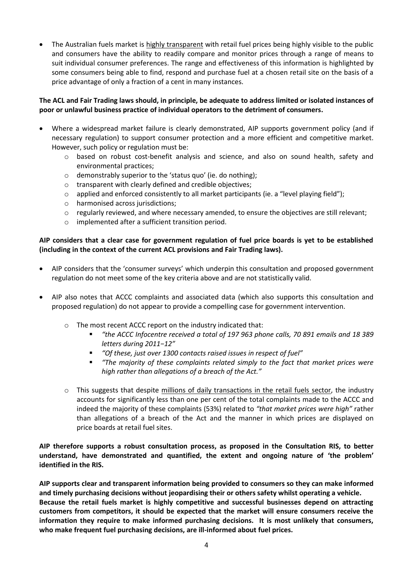The Australian fuels market is highly transparent with retail fuel prices being highly visible to the public and consumers have the ability to readily compare and monitor prices through a range of means to suit individual consumer preferences. The range and effectiveness of this information is highlighted by some consumers being able to find, respond and purchase fuel at a chosen retail site on the basis of a price advantage of only a fraction of a cent in many instances.

#### **The ACL and Fair Trading laws should, in principle, be adequate to address limited or isolated instances of poor or unlawful business practice of individual operators to the detriment of consumers.**

- Where a widespread market failure is clearly demonstrated, AIP supports government policy (and if necessary regulation) to support consumer protection and a more efficient and competitive market. However, such policy or regulation must be:
	- $\circ$  based on robust cost-benefit analysis and science, and also on sound health, safety and environmental practices;
	- o demonstrably superior to the 'status quo' (ie. do nothing);
	- o transparent with clearly defined and credible objectives;
	- $\circ$  applied and enforced consistently to all market participants (ie. a "level playing field");
	- o harmonised across jurisdictions;
	- o regularly reviewed, and where necessary amended, to ensure the objectives are still relevant;
	- o implemented after a sufficient transition period.

#### **AIP considers that a clear case for government regulation of fuel price boards is yet to be established (including in the context of the current ACL provisions and Fair Trading laws).**

- AIP considers that the 'consumer surveys' which underpin this consultation and proposed government regulation do not meet some of the key criteria above and are not statistically valid.
- AIP also notes that ACCC complaints and associated data (which also supports this consultation and proposed regulation) do not appear to provide a compelling case for government intervention.
	- o The most recent ACCC report on the industry indicated that:
		- *"the ACCC Infocentre received a total of 197 963 phone calls, 70 891 emails and 18 389 letters during 2011−12"*
		- *"Of these, just over 1300 contacts raised issues in respect of fuel"*
		- *"The majority of these complaints related simply to the fact that market prices were high rather than allegations of a breach of the Act."*
	- $\circ$  This suggests that despite millions of daily transactions in the retail fuels sector, the industry accounts for significantly less than one per cent of the total complaints made to the ACCC and indeed the majority of these complaints (53%) related to *"that market prices were high"* rather than allegations of a breach of the Act and the manner in which prices are displayed on price boards at retail fuel sites.

**AIP therefore supports a robust consultation process, as proposed in the Consultation RIS, to better understand, have demonstrated and quantified, the extent and ongoing nature of 'the problem' identified in the RIS.**

**AIP supports clear and transparent information being provided to consumers so they can make informed and timely purchasing decisions without jeopardising their or others safety whilst operating a vehicle. Because the retail fuels market is highly competitive and successful businesses depend on attracting customers from competitors, it should be expected that the market will ensure consumers receive the information they require to make informed purchasing decisions. It is most unlikely that consumers, who make frequent fuel purchasing decisions, are ill-informed about fuel prices.**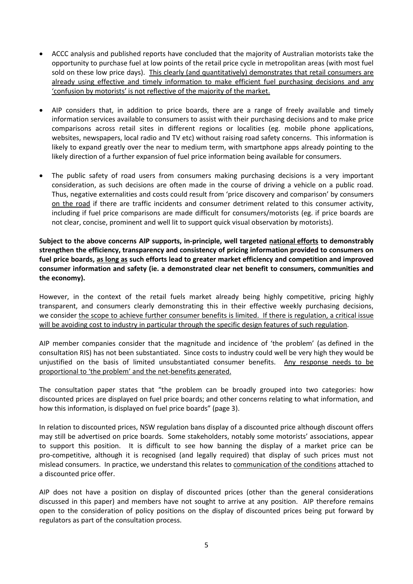- ACCC analysis and published reports have concluded that the majority of Australian motorists take the opportunity to purchase fuel at low points of the retail price cycle in metropolitan areas (with most fuel sold on these low price days). This clearly (and quantitatively) demonstrates that retail consumers are already using effective and timely information to make efficient fuel purchasing decisions and any 'confusion by motorists' is not reflective of the majority of the market.
- AIP considers that, in addition to price boards, there are a range of freely available and timely information services available to consumers to assist with their purchasing decisions and to make price comparisons across retail sites in different regions or localities (eg. mobile phone applications, websites, newspapers, local radio and TV etc) without raising road safety concerns. This information is likely to expand greatly over the near to medium term, with smartphone apps already pointing to the likely direction of a further expansion of fuel price information being available for consumers.
- The public safety of road users from consumers making purchasing decisions is a very important consideration, as such decisions are often made in the course of driving a vehicle on a public road. Thus, negative externalities and costs could result from 'price discovery and comparison' by consumers on the road if there are traffic incidents and consumer detriment related to this consumer activity, including if fuel price comparisons are made difficult for consumers/motorists (eg. if price boards are not clear, concise, prominent and well lit to support quick visual observation by motorists).

**Subject to the above concerns AIP supports, in-principle, well targeted national efforts to demonstrably strengthen the efficiency, transparency and consistency of pricing information provided to consumers on fuel price boards, as long as such efforts lead to greater market efficiency and competition and improved consumer information and safety (ie. a demonstrated clear net benefit to consumers, communities and the economy).**

However, in the context of the retail fuels market already being highly competitive, pricing highly transparent, and consumers clearly demonstrating this in their effective weekly purchasing decisions, we consider the scope to achieve further consumer benefits is limited. If there is regulation, a critical issue will be avoiding cost to industry in particular through the specific design features of such regulation.

AIP member companies consider that the magnitude and incidence of 'the problem' (as defined in the consultation RIS) has not been substantiated. Since costs to industry could well be very high they would be unjustified on the basis of limited unsubstantiated consumer benefits. Any response needs to be proportional to 'the problem' and the net-benefits generated.

The consultation paper states that "the problem can be broadly grouped into two categories: how discounted prices are displayed on fuel price boards; and other concerns relating to what information, and how this information, is displayed on fuel price boards" (page 3).

In relation to discounted prices, NSW regulation bans display of a discounted price although discount offers may still be advertised on price boards. Some stakeholders, notably some motorists' associations, appear to support this position. It is difficult to see how banning the display of a market price can be pro-competitive, although it is recognised (and legally required) that display of such prices must not mislead consumers. In practice, we understand this relates to communication of the conditions attached to a discounted price offer.

AIP does not have a position on display of discounted prices (other than the general considerations discussed in this paper) and members have not sought to arrive at any position. AIP therefore remains open to the consideration of policy positions on the display of discounted prices being put forward by regulators as part of the consultation process.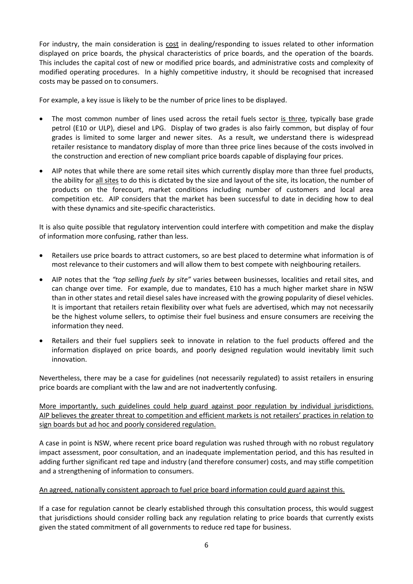For industry, the main consideration is cost in dealing/responding to issues related to other information displayed on price boards, the physical characteristics of price boards, and the operation of the boards. This includes the capital cost of new or modified price boards, and administrative costs and complexity of modified operating procedures. In a highly competitive industry, it should be recognised that increased costs may be passed on to consumers.

For example, a key issue is likely to be the number of price lines to be displayed.

- The most common number of lines used across the retail fuels sector is three, typically base grade petrol (E10 or ULP), diesel and LPG. Display of two grades is also fairly common, but display of four grades is limited to some larger and newer sites. As a result, we understand there is widespread retailer resistance to mandatory display of more than three price lines because of the costs involved in the construction and erection of new compliant price boards capable of displaying four prices.
- AIP notes that while there are some retail sites which currently display more than three fuel products, the ability for all sites to do this is dictated by the size and layout of the site, its location, the number of products on the forecourt, market conditions including number of customers and local area competition etc. AIP considers that the market has been successful to date in deciding how to deal with these dynamics and site-specific characteristics.

It is also quite possible that regulatory intervention could interfere with competition and make the display of information more confusing, rather than less.

- Retailers use price boards to attract customers, so are best placed to determine what information is of most relevance to their customers and will allow them to best compete with neighbouring retailers.
- AIP notes that the *"top selling fuels by site"* varies between businesses, localities and retail sites, and can change over time. For example, due to mandates, E10 has a much higher market share in NSW than in other states and retail diesel sales have increased with the growing popularity of diesel vehicles. It is important that retailers retain flexibility over what fuels are advertised, which may not necessarily be the highest volume sellers, to optimise their fuel business and ensure consumers are receiving the information they need.
- Retailers and their fuel suppliers seek to innovate in relation to the fuel products offered and the information displayed on price boards, and poorly designed regulation would inevitably limit such innovation.

Nevertheless, there may be a case for guidelines (not necessarily regulated) to assist retailers in ensuring price boards are compliant with the law and are not inadvertently confusing.

More importantly, such guidelines could help guard against poor regulation by individual jurisdictions. AIP believes the greater threat to competition and efficient markets is not retailers' practices in relation to sign boards but ad hoc and poorly considered regulation.

A case in point is NSW, where recent price board regulation was rushed through with no robust regulatory impact assessment, poor consultation, and an inadequate implementation period, and this has resulted in adding further significant red tape and industry (and therefore consumer) costs, and may stifle competition and a strengthening of information to consumers.

#### An agreed, nationally consistent approach to fuel price board information could guard against this.

If a case for regulation cannot be clearly established through this consultation process, this would suggest that jurisdictions should consider rolling back any regulation relating to price boards that currently exists given the stated commitment of all governments to reduce red tape for business.